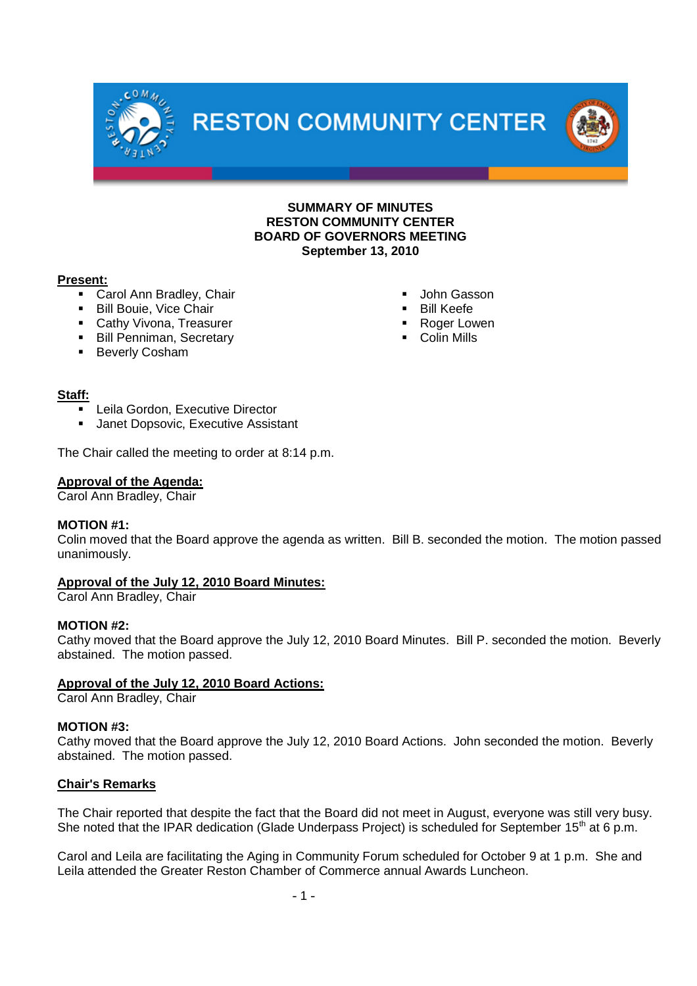**RESTON COMMUNITY CENTER** 



#### **SUMMARY OF MINUTES RESTON COMMUNITY CENTER BOARD OF GOVERNORS MEETING September 13, 2010**

 John Gasson Bill Keefe ■ Roger Lowen Colin Mills

### **Present:**

- Carol Ann Bradley, Chair
- **Bill Bouie, Vice Chair**
- **Cathy Vivona, Treasurer**
- **Bill Penniman, Secretary**
- **Beverly Cosham**

# **Staff:**

- Leila Gordon, Executive Director
- **Janet Dopsovic, Executive Assistant**

The Chair called the meeting to order at 8:14 p.m.

### **Approval of the Agenda:**

Carol Ann Bradley, Chair

#### **MOTION #1:**

Colin moved that the Board approve the agenda as written. Bill B. seconded the motion. The motion passed unanimously.

## **Approval of the July 12, 2010 Board Minutes:**

Carol Ann Bradley, Chair

#### **MOTION #2:**

Cathy moved that the Board approve the July 12, 2010 Board Minutes. Bill P. seconded the motion. Beverly abstained. The motion passed.

## **Approval of the July 12, 2010 Board Actions:**

Carol Ann Bradley, Chair

#### **MOTION #3:**

Cathy moved that the Board approve the July 12, 2010 Board Actions. John seconded the motion. Beverly abstained. The motion passed.

## **Chair's Remarks**

The Chair reported that despite the fact that the Board did not meet in August, everyone was still very busy. She noted that the IPAR dedication (Glade Underpass Project) is scheduled for September 15<sup>th</sup> at 6 p.m.

Carol and Leila are facilitating the Aging in Community Forum scheduled for October 9 at 1 p.m. She and Leila attended the Greater Reston Chamber of Commerce annual Awards Luncheon.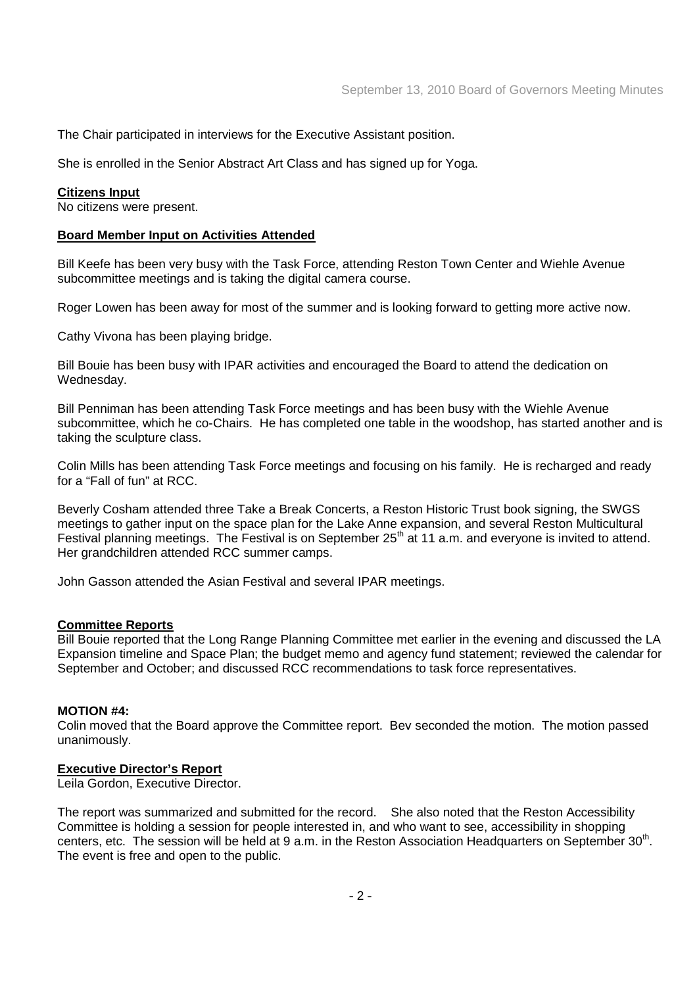The Chair participated in interviews for the Executive Assistant position.

She is enrolled in the Senior Abstract Art Class and has signed up for Yoga.

#### **Citizens Input**

No citizens were present.

#### **Board Member Input on Activities Attended**

Bill Keefe has been very busy with the Task Force, attending Reston Town Center and Wiehle Avenue subcommittee meetings and is taking the digital camera course.

Roger Lowen has been away for most of the summer and is looking forward to getting more active now.

Cathy Vivona has been playing bridge.

Bill Bouie has been busy with IPAR activities and encouraged the Board to attend the dedication on Wednesday.

Bill Penniman has been attending Task Force meetings and has been busy with the Wiehle Avenue subcommittee, which he co-Chairs. He has completed one table in the woodshop, has started another and is taking the sculpture class.

Colin Mills has been attending Task Force meetings and focusing on his family. He is recharged and ready for a "Fall of fun" at RCC.

Beverly Cosham attended three Take a Break Concerts, a Reston Historic Trust book signing, the SWGS meetings to gather input on the space plan for the Lake Anne expansion, and several Reston Multicultural Festival planning meetings. The Festival is on September 25<sup>th</sup> at 11 a.m. and everyone is invited to attend. Her grandchildren attended RCC summer camps.

John Gasson attended the Asian Festival and several IPAR meetings.

#### **Committee Reports**

Bill Bouie reported that the Long Range Planning Committee met earlier in the evening and discussed the LA Expansion timeline and Space Plan; the budget memo and agency fund statement; reviewed the calendar for September and October; and discussed RCC recommendations to task force representatives.

#### **MOTION #4:**

Colin moved that the Board approve the Committee report. Bev seconded the motion. The motion passed unanimously.

#### **Executive Director's Report**

Leila Gordon, Executive Director.

The report was summarized and submitted for the record. She also noted that the Reston Accessibility Committee is holding a session for people interested in, and who want to see, accessibility in shopping centers, etc. The session will be held at 9 a.m. in the Reston Association Headquarters on September 30<sup>th</sup>. The event is free and open to the public.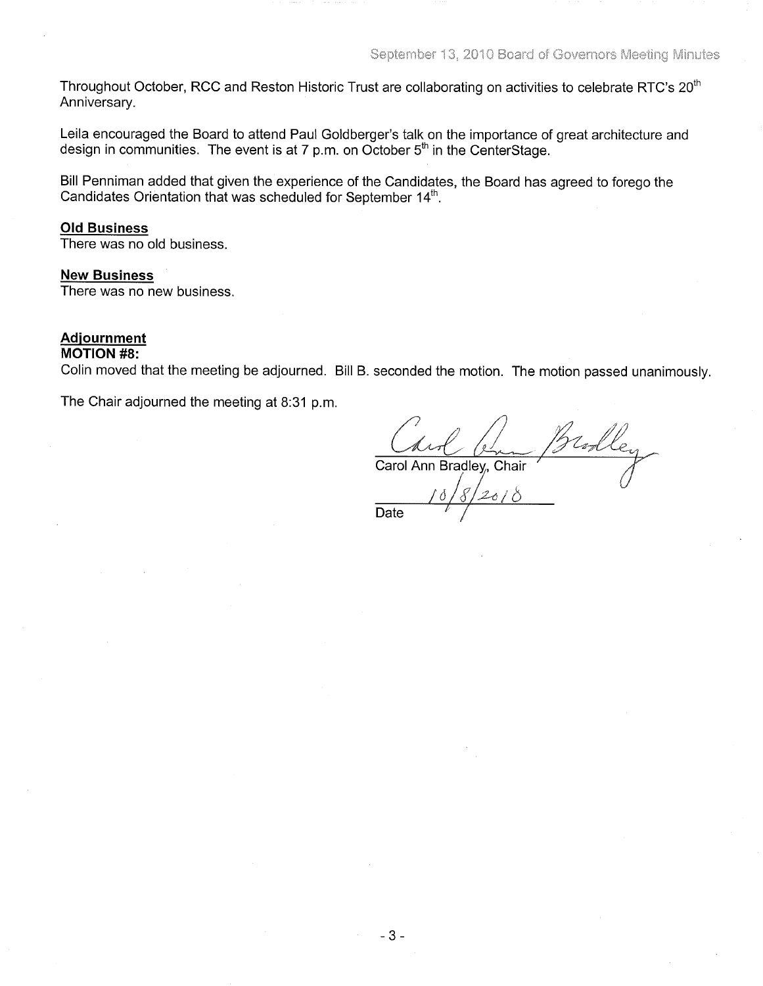Throughout October, RCC and Reston Historic Trust are collaborating on activities to celebrate RTC's 20<sup>th</sup> Anniversary.

Leila encouraged the Board to attend Paul Goldberger's talk on the importance of great architecture and design in communities. The event is at 7 p.m. on October 5<sup>th</sup> in the CenterStage.

Bill Penniman added that given the experience of the Candidates, the Board has agreed to forego the Candidates Orientation that was scheduled for September 14<sup>th</sup>.

#### **Old Business**

There was no old business.

#### **New Business**

There was no new business.

#### **Adjournment**

#### **MOTION #8:**

Colin moved that the meeting be adjourned. Bill B. seconded the motion. The motion passed unanimously.

The Chair adjourned the meeting at 8:31 p.m.

 $2018$ 

Carol Ann Bradley, Chair

Date